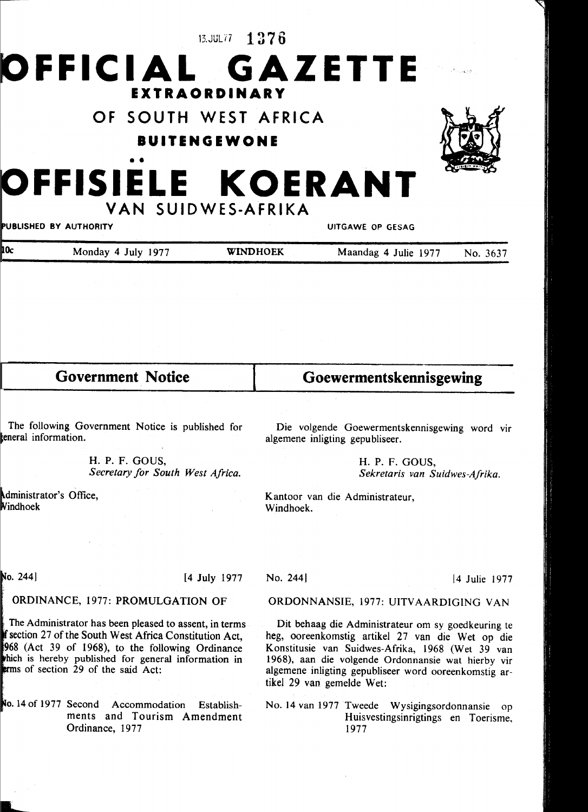13.JUL77 **1376** 



**OF SOUTH WEST AFRICA** 

**BUITENGEWONE** 

## OFFISIELE KOERANT **VAN SUIDWES-AFRIKA**

PUBLISHED BY AUTHORITY

UITGAWE OP GESAG

| 10c | Monday 4 July 1977 | <b>WINDHOEK</b> | Maandag 4 Julie 1977 | No. 3637 |
|-----|--------------------|-----------------|----------------------|----------|
|     |                    |                 |                      |          |

| The following Government Notice is published for |  |
|--------------------------------------------------|--|
| eneral information.                              |  |

**Government Notice** 

H. P. F. GOUS, *Secretary for South West Africa.* 

dministrator's Office, Windhoek

Die volgende Goewermentskennisgewing word vir algemene inligting gepubliseer.

**Goewermentskennisgewing** 

H. P. F. GOUS, *Sekretaris van Suidwes-Afrika.* 

Kantoor van die Administrateur, Windhoek.

 $No. 244]$ 

[4 July 1977

## ORDINANCE, 1977: PROMULGATION OF

The Administrator has been pleased to assent, in terms section 27 of the South West Africa Constitution Act, 968 (Act 39 of 1968), to the following Ordinance hich is hereby published for general information in  $\mathbf{r}$ ms of section 29 of the said Act:

No. 14 of 1977 Second Accommodation Establishments and Tourism Amendment Ordinance, 1977

ORDONNANSIE, 1977: UITVAARDIGING VAN

Dit behaag die Administrateur om sy goedkeuring te heg, ooreenkomstig artikel 27 van die Wet op die Konstitusie van Suidwes-Afrika, 1968 (Wet 39 van 1968), aan die volgende Ordonnansie wat hierby vir algemene inligting gepubliseer word ooreenkomstig artikel 29 van gemelde Wet:

No. 14 van 1977 Tweede Wysigingsordonnansie op Huisvestingsinrigtings en Toerisme, 1977



No. 244] [ 4 Julie 1977